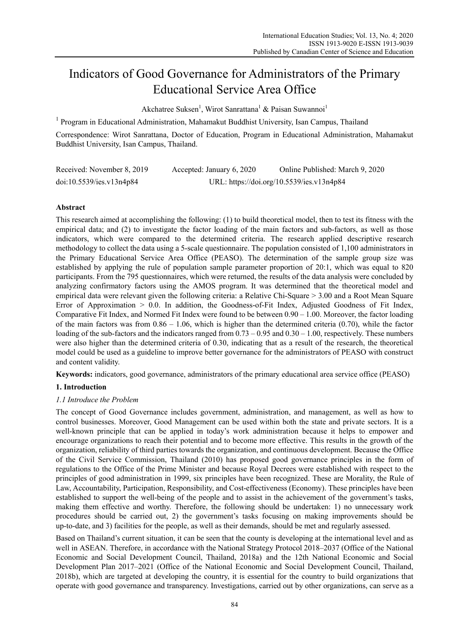# Indicators of Good Governance for Administrators of the Primary Educational Service Area Office

Akchatree Suksen<sup>1</sup>, Wirot Sanrattana<sup>1</sup> & Paisan Suwannoi<sup>1</sup>

<sup>1</sup> Program in Educational Administration, Mahamakut Buddhist University, Isan Campus, Thailand

Correspondence: Wirot Sanrattana, Doctor of Education, Program in Educational Administration, Mahamakut Buddhist University, Isan Campus, Thailand.

| Received: November 8, 2019 | Accepted: January 6, 2020                 | Online Published: March 9, 2020 |  |  |
|----------------------------|-------------------------------------------|---------------------------------|--|--|
| doi:10.5539/ies.v13n4p84   | URL: https://doi.org/10.5539/ies.v13n4p84 |                                 |  |  |

# **Abstract**

This research aimed at accomplishing the following: (1) to build theoretical model, then to test its fitness with the empirical data; and (2) to investigate the factor loading of the main factors and sub-factors, as well as those indicators, which were compared to the determined criteria. The research applied descriptive research methodology to collect the data using a 5-scale questionnaire. The population consisted of 1,100 administrators in the Primary Educational Service Area Office (PEASO). The determination of the sample group size was established by applying the rule of population sample parameter proportion of 20:1, which was equal to 820 participants. From the 795 questionnaires, which were returned, the results of the data analysis were concluded by analyzing confirmatory factors using the AMOS program. It was determined that the theoretical model and empirical data were relevant given the following criteria: a Relative Chi-Square > 3.00 and a Root Mean Square Error of Approximation > 0.0. In addition, the Goodness-of-Fit Index, Adjusted Goodness of Fit Index, Comparative Fit Index, and Normed Fit Index were found to be between 0.90 – 1.00. Moreover, the factor loading of the main factors was from  $0.86 - 1.06$ , which is higher than the determined criteria (0.70), while the factor loading of the sub-factors and the indicators ranged from  $0.73 - 0.95$  and  $0.30 - 1.00$ , respectively. These numbers were also higher than the determined criteria of 0.30, indicating that as a result of the research, the theoretical model could be used as a guideline to improve better governance for the administrators of PEASO with construct and content validity.

**Keywords:** indicators, good governance, administrators of the primary educational area service office (PEASO)

# **1. Introduction**

# *1.1 Introduce the Problem*

The concept of Good Governance includes government, administration, and management, as well as how to control businesses. Moreover, Good Management can be used within both the state and private sectors. It is a well-known principle that can be applied in today's work administration because it helps to empower and encourage organizations to reach their potential and to become more effective. This results in the growth of the organization, reliability of third parties towards the organization, and continuous development. Because the Office of the Civil Service Commission, Thailand (2010) has proposed good governance principles in the form of regulations to the Office of the Prime Minister and because Royal Decrees were established with respect to the principles of good administration in 1999, six principles have been recognized. These are Morality, the Rule of Law, Accountability, Participation, Responsibility, and Cost-effectiveness (Economy). These principles have been established to support the well-being of the people and to assist in the achievement of the government's tasks, making them effective and worthy. Therefore, the following should be undertaken: 1) no unnecessary work procedures should be carried out, 2) the government's tasks focusing on making improvements should be up-to-date, and 3) facilities for the people, as well as their demands, should be met and regularly assessed.

Based on Thailand's current situation, it can be seen that the county is developing at the international level and as well in ASEAN. Therefore, in accordance with the National Strategy Protocol 2018–2037 (Office of the National Economic and Social Development Council, Thailand, 2018a) and the 12th National Economic and Social Development Plan 2017–2021 (Office of the National Economic and Social Development Council, Thailand, 2018b), which are targeted at developing the country, it is essential for the country to build organizations that operate with good governance and transparency. Investigations, carried out by other organizations, can serve as a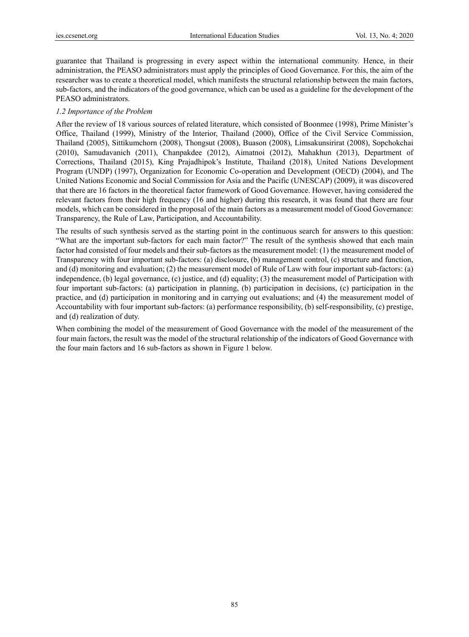guarantee that Thailand is progressing in every aspect within the international community. Hence, in their administration, the PEASO administrators must apply the principles of Good Governance. For this, the aim of the researcher was to create a theoretical model, which manifests the structural relationship between the main factors, sub-factors, and the indicators of the good governance, which can be used as a guideline for the development of the PEASO administrators.

#### *1.2 Importance of the Problem*

After the review of 18 various sources of related literature, which consisted of Boonmee (1998), Prime Minister's Office, Thailand (1999), Ministry of the Interior, Thailand (2000), Office of the Civil Service Commission, Thailand (2005), Sittikumchorn (2008), Thongsut (2008), Buason (2008), Limsakunsirirat (2008), Sopchokchai (2010), Samudavanich (2011), Chanpakdee (2012), Aimatnoi (2012), Mahakhun (2013), Department of Corrections, Thailand (2015), King Prajadhipok's Institute, Thailand (2018), United Nations Development Program (UNDP) (1997), Organization for Economic Co-operation and Development (OECD) (2004), and The United Nations Economic and Social Commission for Asia and the Pacific (UNESCAP) (2009), it was discovered that there are 16 factors in the theoretical factor framework of Good Governance. However, having considered the relevant factors from their high frequency (16 and higher) during this research, it was found that there are four models, which can be considered in the proposal of the main factors as a measurement model of Good Governance: Transparency, the Rule of Law, Participation, and Accountability.

The results of such synthesis served as the starting point in the continuous search for answers to this question: "What are the important sub-factors for each main factor?" The result of the synthesis showed that each main factor had consisted of four models and their sub-factors as the measurement model: (1) the measurement model of Transparency with four important sub-factors: (a) disclosure, (b) management control, (c) structure and function, and (d) monitoring and evaluation; (2) the measurement model of Rule of Law with four important sub-factors: (a) independence, (b) legal governance, (c) justice, and (d) equality; (3) the measurement model of Participation with four important sub-factors: (a) participation in planning, (b) participation in decisions, (c) participation in the practice, and (d) participation in monitoring and in carrying out evaluations; and (4) the measurement model of Accountability with four important sub-factors: (a) performance responsibility, (b) self-responsibility, (c) prestige, and (d) realization of duty.

When combining the model of the measurement of Good Governance with the model of the measurement of the four main factors, the result was the model of the structural relationship of the indicators of Good Governance with the four main factors and 16 sub-factors as shown in Figure 1 below.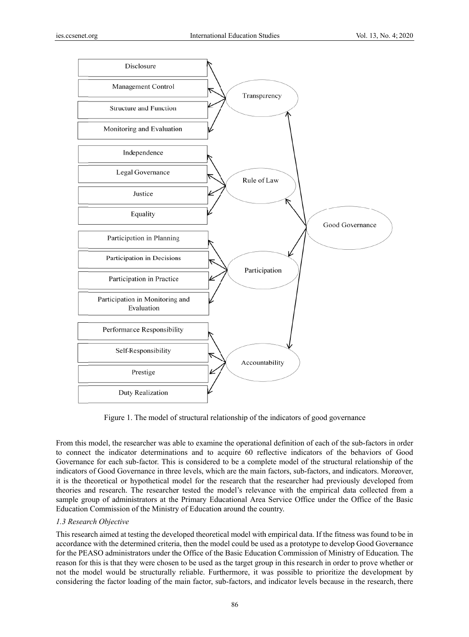

Figure 1. The model of structural relationship of the indicators of good governance

From this model, the researcher was able to examine the operational definition of each of the sub-factors in order to connect the indicator determinations and to acquire 60 reflective indicators of the behaviors of Good Governance for each sub-factor. This is considered to be a complete model of the structural relationship of the indicators of Good Governance in three levels, which are the main factors, sub-factors, and indicators. Moreover, it is the theoretical or hypothetical model for the research that the researcher had previously developed from theories and research. The researcher tested the model's relevance with the empirical data collected from a sample group of administrators at the Primary Educational Area Service Office under the Office of the Basic Education Commission of the Ministry of Education around the country.

# 1.3 Research Objective

This research aimed at testing the developed theoretical model with empirical data. If the fitness was found to be in accordance with the determined criteria, then the model could be used as a prototype to develop Good Governance for the PEASO administrators under the Office of the Basic Education Commission of Ministry of Education. The reason for this is that they were chosen to be used as the target group in this research in order to prove whether or not the model would be structurally reliable. Furthermore, it was possible to prioritize the development by considering the factor loading of the main factor, sub-factors, and indicator levels because in the research, there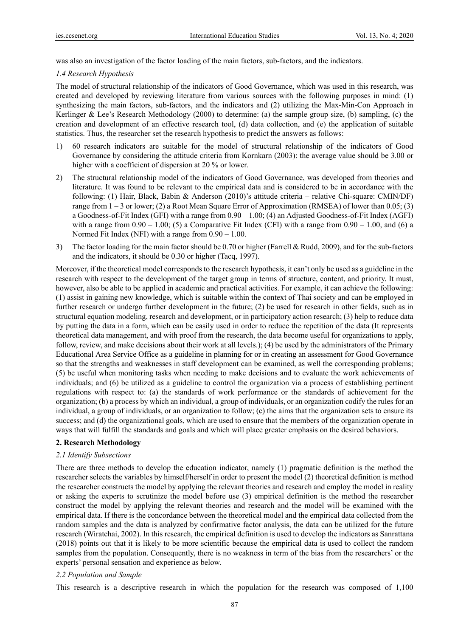was also an investigation of the factor loading of the main factors, sub-factors, and the indicators.

### *1.4 Research Hypothesis*

The model of structural relationship of the indicators of Good Governance, which was used in this research, was created and developed by reviewing literature from various sources with the following purposes in mind: (1) synthesizing the main factors, sub-factors, and the indicators and (2) utilizing the Max-Min-Con Approach in Kerlinger & Lee's Research Methodology (2000) to determine: (a) the sample group size, (b) sampling, (c) the creation and development of an effective research tool, (d) data collection, and (e) the application of suitable statistics. Thus, the researcher set the research hypothesis to predict the answers as follows:

- 1) 60 research indicators are suitable for the model of structural relationship of the indicators of Good Governance by considering the attitude criteria from Kornkarn (2003): the average value should be 3.00 or higher with a coefficient of dispersion at 20 % or lower.
- 2) The structural relationship model of the indicators of Good Governance, was developed from theories and literature. It was found to be relevant to the empirical data and is considered to be in accordance with the following: (1) Hair, Black, Babin & Anderson (2010)'s attitude criteria – relative Chi-square: CMIN/DF) range from  $1 - 3$  or lower; (2) a Root Mean Square Error of Approximation (RMSEA) of lower than 0.05; (3) a Goodness-of-Fit Index (GFI) with a range from 0.90 – 1.00; (4) an Adjusted Goodness-of-Fit Index (AGFI) with a range from  $0.90 - 1.00$ ; (5) a Comparative Fit Index (CFI) with a range from  $0.90 - 1.00$ , and (6) a Normed Fit Index (NFI) with a range from 0.90 – 1.00.
- 3) The factor loading for the main factor should be 0.70 or higher (Farrell & Rudd, 2009), and for the sub-factors and the indicators, it should be 0.30 or higher (Tacq, 1997).

Moreover, if the theoretical model corresponds to the research hypothesis, it can't only be used as a guideline in the research with respect to the development of the target group in terms of structure, content, and priority. It must, however, also be able to be applied in academic and practical activities. For example, it can achieve the following: (1) assist in gaining new knowledge, which is suitable within the context of Thai society and can be employed in further research or undergo further development in the future; (2) be used for research in other fields, such as in structural equation modeling, research and development, or in participatory action research; (3) help to reduce data by putting the data in a form, which can be easily used in order to reduce the repetition of the data (It represents theoretical data management, and with proof from the research, the data become useful for organizations to apply, follow, review, and make decisions about their work at all levels.); (4) be used by the administrators of the Primary Educational Area Service Office as a guideline in planning for or in creating an assessment for Good Governance so that the strengths and weaknesses in staff development can be examined, as well the corresponding problems; (5) be useful when monitoring tasks when needing to make decisions and to evaluate the work achievements of individuals; and (6) be utilized as a guideline to control the organization via a process of establishing pertinent regulations with respect to: (a) the standards of work performance or the standards of achievement for the organization; (b) a process by which an individual, a group of individuals, or an organization codify the rules for an individual, a group of individuals, or an organization to follow; (c) the aims that the organization sets to ensure its success; and (d) the organizational goals, which are used to ensure that the members of the organization operate in ways that will fulfill the standards and goals and which will place greater emphasis on the desired behaviors.

## **2. Research Methodology**

#### *2.1 Identify Subsections*

There are three methods to develop the education indicator, namely (1) pragmatic definition is the method the researcher selects the variables by himself/herself in order to present the model (2) theoretical definition is method the researcher constructs the model by applying the relevant theories and research and employ the model in reality or asking the experts to scrutinize the model before use (3) empirical definition is the method the researcher construct the model by applying the relevant theories and research and the model will be examined with the empirical data. If there is the concordance between the theoretical model and the empirical data collected from the random samples and the data is analyzed by confirmative factor analysis, the data can be utilized for the future research (Wiratchai, 2002). In this research, the empirical definition is used to develop the indicators as Sanrattana (2018) points out that it is likely to be more scientific because the empirical data is used to collect the random samples from the population. Consequently, there is no weakness in term of the bias from the researchers' or the experts' personal sensation and experience as below.

## *2.2 Population and Sample*

This research is a descriptive research in which the population for the research was composed of 1,100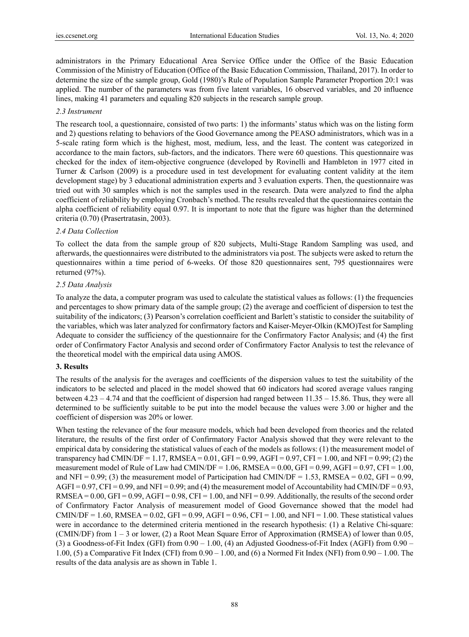administrators in the Primary Educational Area Service Office under the Office of the Basic Education Commission of the Ministry of Education (Office of the Basic Education Commission, Thailand, 2017). In order to determine the size of the sample group, Gold (1980)'s Rule of Population Sample Parameter Proportion 20:1 was applied. The number of the parameters was from five latent variables, 16 observed variables, and 20 influence lines, making 41 parameters and equaling 820 subjects in the research sample group.

## *2.3 Instrument*

The research tool, a questionnaire, consisted of two parts: 1) the informants' status which was on the listing form and 2) questions relating to behaviors of the Good Governance among the PEASO administrators, which was in a 5-scale rating form which is the highest, most, medium, less, and the least. The content was categorized in accordance to the main factors, sub-factors, and the indicators. There were 60 questions. This questionnaire was checked for the index of item-objective congruence (developed by Rovinelli and Hambleton in 1977 cited in Turner & Carlson (2009) is a procedure used in test development for evaluating content validity at the item development stage) by 3 educational administration experts and 3 evaluation experts. Then, the questionnaire was tried out with 30 samples which is not the samples used in the research. Data were analyzed to find the alpha coefficient of reliability by employing Cronbach's method. The results revealed that the questionnaires contain the alpha coefficient of reliability equal 0.97. It is important to note that the figure was higher than the determined criteria (0.70) (Prasertratasin, 2003).

## *2.4 Data Collection*

To collect the data from the sample group of 820 subjects, Multi-Stage Random Sampling was used, and afterwards, the questionnaires were distributed to the administrators via post. The subjects were asked to return the questionnaires within a time period of 6-weeks. Of those 820 questionnaires sent, 795 questionnaires were returned (97%).

## *2.5 Data Analysis*

To analyze the data, a computer program was used to calculate the statistical values as follows: (1) the frequencies and percentages to show primary data of the sample group; (2) the average and coefficient of dispersion to test the suitability of the indicators; (3) Pearson's correlation coefficient and Barlett's statistic to consider the suitability of the variables, which was later analyzed for confirmatory factors and Kaiser-Meyer-Olkin (KMO)Test for Sampling Adequate to consider the sufficiency of the questionnaire for the Confirmatory Factor Analysis; and (4) the first order of Confirmatory Factor Analysis and second order of Confirmatory Factor Analysis to test the relevance of the theoretical model with the empirical data using AMOS.

## **3. Results**

The results of the analysis for the averages and coefficients of the dispersion values to test the suitability of the indicators to be selected and placed in the model showed that 60 indicators had scored average values ranging between 4.23 – 4.74 and that the coefficient of dispersion had ranged between 11.35 – 15.86. Thus, they were all determined to be sufficiently suitable to be put into the model because the values were 3.00 or higher and the coefficient of dispersion was 20% or lower.

When testing the relevance of the four measure models, which had been developed from theories and the related literature, the results of the first order of Confirmatory Factor Analysis showed that they were relevant to the empirical data by considering the statistical values of each of the models as follows: (1) the measurement model of transparency had CMIN/DF = 1.17, RMSEA =  $0.01$ , GFI =  $0.99$ , AGFI =  $0.97$ , CFI =  $1.00$ , and NFI =  $0.99$ ; (2) the measurement model of Rule of Law had CMIN/DF =  $1.06$ , RMSEA =  $0.00$ , GFI =  $0.99$ , AGFI =  $0.97$ , CFI =  $1.00$ , and NFI =  $0.99$ ; (3) the measurement model of Participation had CMIN/DF = 1.53, RMSEA =  $0.02$ , GFI =  $0.99$ , AGFI = 0.97, CFI = 0.99, and NFI = 0.99; and (4) the measurement model of Accountability had CMIN/DF = 0.93, RMSEA =  $0.00$ , GFI =  $0.99$ , AGFI =  $0.98$ , CFI =  $1.00$ , and NFI =  $0.99$ . Additionally, the results of the second order of Confirmatory Factor Analysis of measurement model of Good Governance showed that the model had CMIN/DF = 1.60, RMSEA = 0.02, GFI = 0.99, AGFI = 0.96, CFI = 1.00, and NFI = 1.00. These statistical values were in accordance to the determined criteria mentioned in the research hypothesis: (1) a Relative Chi-square: (CMIN/DF) from 1 – 3 or lower, (2) a Root Mean Square Error of Approximation (RMSEA) of lower than 0.05, (3) a Goodness-of-Fit Index (GFI) from 0.90 – 1.00, (4) an Adjusted Goodness-of-Fit Index (AGFI) from 0.90 – 1.00, (5) a Comparative Fit Index (CFI) from 0.90 – 1.00, and (6) a Normed Fit Index (NFI) from 0.90 – 1.00. The results of the data analysis are as shown in Table 1.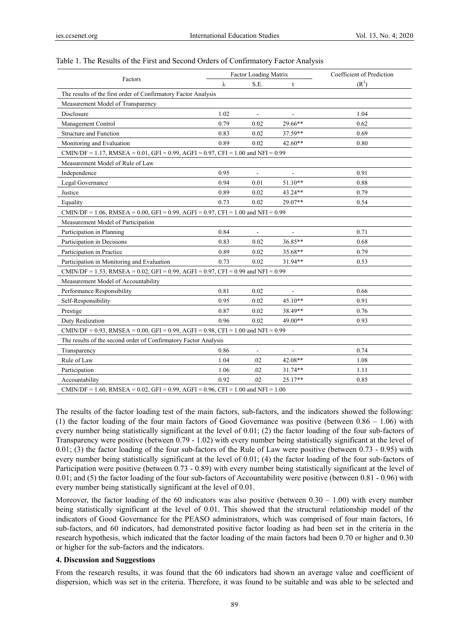|                                                                                               | <b>Factor Loading Matrix</b> |                          |                          | Coefficient of Prediction |  |  |
|-----------------------------------------------------------------------------------------------|------------------------------|--------------------------|--------------------------|---------------------------|--|--|
| Factors                                                                                       | $\lambda$                    | S.E.                     | t                        | (R <sup>2</sup> )         |  |  |
| The results of the first order of Confirmatory Factor Analysis                                |                              |                          |                          |                           |  |  |
| Measurement Model of Transparency                                                             |                              |                          |                          |                           |  |  |
| Disclosure                                                                                    | 1.02                         | $\overline{\phantom{a}}$ | $\overline{\phantom{a}}$ | 1.04                      |  |  |
| Management Control                                                                            | 0.79                         | 0.02                     | 29.66**                  | 0.62                      |  |  |
| <b>Structure and Function</b>                                                                 | 0.83                         | 0.02                     | 37.59**                  | 0.69                      |  |  |
| Monitoring and Evaluation                                                                     | 0.89                         | 0.02                     | 42.60**                  | 0.80                      |  |  |
| CMIN/DF = 1.17, RMSEA = $0.01$ , GFI = $0.99$ , AGFI = $0.97$ , CFI = $1.00$ and NFI = $0.99$ |                              |                          |                          |                           |  |  |
| Measurement Model of Rule of Law                                                              |                              |                          |                          |                           |  |  |
| Independence                                                                                  | 0.95                         | $\overline{\phantom{a}}$ |                          | 0.91                      |  |  |
| Legal Governance                                                                              | 0.94                         | 0.01                     | $51.10**$                | 0.88                      |  |  |
| Justice                                                                                       | 0.89                         | 0.02                     | 43.24**                  | 0.79                      |  |  |
| Equality                                                                                      | 0.73                         | 0.02                     | 29.07**                  | 0.54                      |  |  |
| CMIN/DF = 1.06, RMSEA = 0.00, GFI = 0.99, AGFI = 0.97, CFI = 1.00 and NFI = 0.99              |                              |                          |                          |                           |  |  |
| Measurement Model of Participation                                                            |                              |                          |                          |                           |  |  |
| Participation in Planning                                                                     | 0.84                         | $\overline{\phantom{a}}$ |                          | 0.71                      |  |  |
| Participation in Decisions                                                                    | 0.83                         | 0.02                     | 36.85**                  | 0.68                      |  |  |
| Participation in Practice                                                                     | 0.89                         | 0.02                     | 35.68**                  | 0.79                      |  |  |
| Participation in Monitoring and Evaluation                                                    | 0.73                         | 0.02                     | 31.94**                  | 0.53                      |  |  |
| CMIN/DF = 1.53, RMSEA = $0.02$ , GFI = 0.99, AGFI = 0.97, CFI = 0.99 and NFI = 0.99           |                              |                          |                          |                           |  |  |
| Measurement Model of Accountability                                                           |                              |                          |                          |                           |  |  |
| Performance Responsibility                                                                    | 0.81                         | 0.02                     | $\blacksquare$           | 0.66                      |  |  |
| Self-Responsibility                                                                           | 0.95                         | 0.02                     | 45.10**                  | 0.91                      |  |  |
| Prestige                                                                                      | 0.87                         | 0.02                     | 38.49**                  | 0.76                      |  |  |
| Duty Realization                                                                              | 0.96                         | 0.02                     | 49.00**                  | 0.93                      |  |  |
| CMIN/DF = 0.93, RMSEA = 0.00, GFI = 0.99, AGFI = 0.98, CFI = 1.00 and NFI = 0.99              |                              |                          |                          |                           |  |  |
| The results of the second order of Confirmatory Factor Analysis                               |                              |                          |                          |                           |  |  |
| Transparency                                                                                  | 0.86                         |                          |                          | 0.74                      |  |  |
| Rule of Law                                                                                   | 1.04                         | .02                      | 42.08**                  | 1.08                      |  |  |
| Participation                                                                                 | 1.06                         | .02                      | 31.74**                  | 1.11                      |  |  |
| Accountability                                                                                | 0.92                         | .02                      | 25.17**                  | 0.85                      |  |  |
| CMIN/DF = 1.60, RMSEA = 0.02, GFI = 0.99, AGFI = 0.96, CFI = 1.00 and NFI = 1.00              |                              |                          |                          |                           |  |  |

#### Table 1. The Results of the First and Second Orders of Confirmatory Factor Analysis

The results of the factor loading test of the main factors, sub-factors, and the indicators showed the following: (1) the factor loading of the four main factors of Good Governance was positive (between 0.86 – 1.06) with every number being statistically significant at the level of 0.01; (2) the factor loading of the four sub-factors of Transparency were positive (between 0.79 - 1.02) with every number being statistically significant at the level of  $0.01$ ; (3) the factor loading of the four sub-factors of the Rule of Law were positive (between 0.73 - 0.95) with every number being statistically significant at the level of 0.01; (4) the factor loading of the four sub-factors of Participation were positive (between 0.73 - 0.89) with every number being statistically significant at the level of 0.01; and (5) the factor loading of the four sub-factors of Accountability were positive (between 0.81 - 0.96) with every number being statistically significant at the level of 0.01.

Moreover, the factor loading of the 60 indicators was also positive (between  $0.30 - 1.00$ ) with every number being statistically significant at the level of 0.01. This showed that the structural relationship model of the indicators of Good Governance for the PEASO administrators, which was comprised of four main factors, 16 sub-factors, and 60 indicators, had demonstrated positive factor loading as had been set in the criteria in the research hypothesis, which indicated that the factor loading of the main factors had been 0.70 or higher and 0.30 or higher for the sub-factors and the indicators.

#### **4. Discussion and Suggestions**

From the research results, it was found that the 60 indicators had shown an average value and coefficient of dispersion, which was set in the criteria. Therefore, it was found to be suitable and was able to be selected and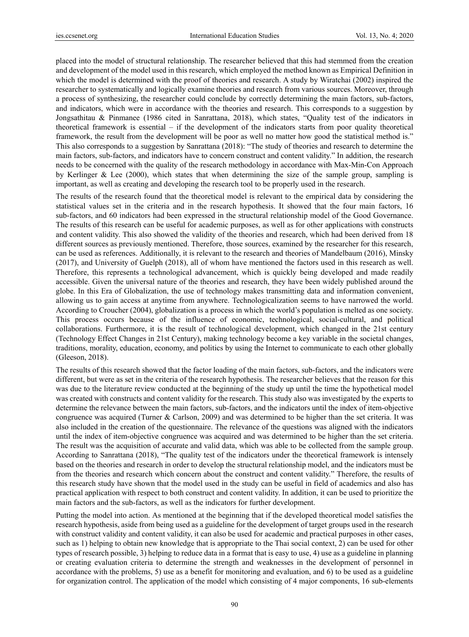placed into the model of structural relationship. The researcher believed that this had stemmed from the creation and development of the model used in this research, which employed the method known as Empirical Definition in which the model is determined with the proof of theories and research. A study by Wiratchai (2002) inspired the researcher to systematically and logically examine theories and research from various sources. Moreover, through a process of synthesizing, the researcher could conclude by correctly determining the main factors, sub-factors, and indicators, which were in accordance with the theories and research. This corresponds to a suggestion by Jongsathitau & Pinmanee (1986 cited in Sanrattana, 2018), which states, "Quality test of the indicators in theoretical framework is essential – if the development of the indicators starts from poor quality theoretical framework, the result from the development will be poor as well no matter how good the statistical method is." This also corresponds to a suggestion by Sanrattana (2018): "The study of theories and research to determine the main factors, sub-factors, and indicators have to concern construct and content validity." In addition, the research needs to be concerned with the quality of the research methodology in accordance with Max-Min-Con Approach by Kerlinger & Lee (2000), which states that when determining the size of the sample group, sampling is important, as well as creating and developing the research tool to be properly used in the research.

The results of the research found that the theoretical model is relevant to the empirical data by considering the statistical values set in the criteria and in the research hypothesis. It showed that the four main factors, 16 sub-factors, and 60 indicators had been expressed in the structural relationship model of the Good Governance. The results of this research can be useful for academic purposes, as well as for other applications with constructs and content validity. This also showed the validity of the theories and research, which had been derived from 18 different sources as previously mentioned. Therefore, those sources, examined by the researcher for this research, can be used as references. Additionally, it is relevant to the research and theories of Mandelbaum (2016), Minsky (2017), and University of Guelph (2018), all of whom have mentioned the factors used in this research as well. Therefore, this represents a technological advancement, which is quickly being developed and made readily accessible. Given the universal nature of the theories and research, they have been widely published around the globe. In this Era of Globalization, the use of technology makes transmitting data and information convenient, allowing us to gain access at anytime from anywhere. Technologicalization seems to have narrowed the world. According to Croucher (2004), globalization is a process in which the world's population is melted as one society. This process occurs because of the influence of economic, technological, social-cultural, and political collaborations. Furthermore, it is the result of technological development, which changed in the 21st century (Technology Effect Changes in 21st Century), making technology become a key variable in the societal changes, traditions, morality, education, economy, and politics by using the Internet to communicate to each other globally (Gleeson, 2018).

The results of this research showed that the factor loading of the main factors, sub-factors, and the indicators were different, but were as set in the criteria of the research hypothesis. The researcher believes that the reason for this was due to the literature review conducted at the beginning of the study up until the time the hypothetical model was created with constructs and content validity for the research. This study also was investigated by the experts to determine the relevance between the main factors, sub-factors, and the indicators until the index of item-objective congruence was acquired (Turner & Carlson, 2009) and was determined to be higher than the set criteria. It was also included in the creation of the questionnaire. The relevance of the questions was aligned with the indicators until the index of item-objective congruence was acquired and was determined to be higher than the set criteria. The result was the acquisition of accurate and valid data, which was able to be collected from the sample group. According to Sanrattana (2018), "The quality test of the indicators under the theoretical framework is intensely based on the theories and research in order to develop the structural relationship model, and the indicators must be from the theories and research which concern about the construct and content validity." Therefore, the results of this research study have shown that the model used in the study can be useful in field of academics and also has practical application with respect to both construct and content validity. In addition, it can be used to prioritize the main factors and the sub-factors, as well as the indicators for further development.

Putting the model into action. As mentioned at the beginning that if the developed theoretical model satisfies the research hypothesis, aside from being used as a guideline for the development of target groups used in the research with construct validity and content validity, it can also be used for academic and practical purposes in other cases, such as 1) helping to obtain new knowledge that is appropriate to the Thai social context, 2) can be used for other types of research possible, 3) helping to reduce data in a format that is easy to use, 4) use as a guideline in planning or creating evaluation criteria to determine the strength and weaknesses in the development of personnel in accordance with the problems, 5) use as a benefit for monitoring and evaluation, and 6) to be used as a guideline for organization control. The application of the model which consisting of 4 major components, 16 sub-elements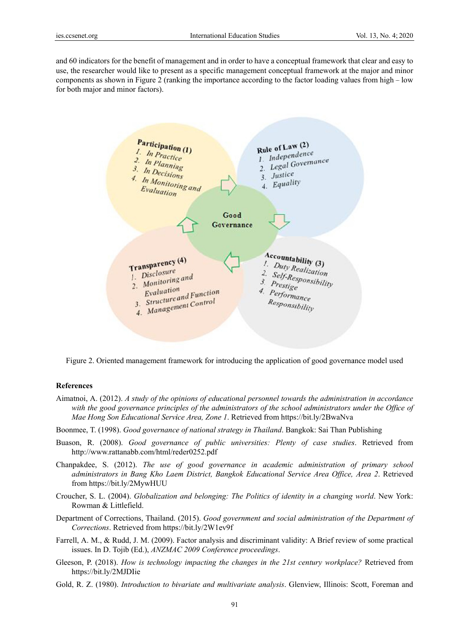and 60 indicators for the benefit of management and in order to have a conceptual framework that clear and easy to use, the researcher would like to present as a specific management conceptual framework at the major and minor components as shown in Figure 2 (ranking the importance according to the factor loading values from high – low for both major and minor factors).



Figure 2. Oriented management framework for introducing the application of good governance model used

#### **References**

- Aimatnoi, A. (2012). A study of the opinions of educational personnel towards the administration in accordance with the good governance principles of the administrators of the school administrators under the Office of Mae Hong Son Educational Service Area, Zone 1. Retrieved from https://bit.ly/2BwaNva
- Boonmee, T. (1998). Good governance of national strategy in Thailand. Bangkok: Sai Than Publishing
- Buason, R. (2008). Good governance of public universities: Plenty of case studies. Retrieved from http://www.rattanabb.com/html/reder0252.pdf
- Chanpakdee, S. (2012). The use of good governance in academic administration of primary school administrators in Bang Kho Laem District, Bangkok Educational Service Area Office, Area 2. Retrieved from https://bit.ly/2MywHUU
- Croucher, S. L. (2004). Globalization and belonging: The Politics of identity in a changing world. New York: Rowman & Littlefield.
- Department of Corrections, Thailand. (2015). Good government and social administration of the Department of Corrections. Retrieved from https://bit.ly/2W1ev9f
- Farrell, A. M., & Rudd, J. M. (2009). Factor analysis and discriminant validity: A Brief review of some practical issues. In D. Tojib (Ed.), *ANZMAC 2009 Conference proceedings.*
- Gleeson, P. (2018). How is technology impacting the changes in the 21st century workplace? Retrieved from https://bit.ly/2MJDIie
- Gold, R. Z. (1980). Introduction to bivariate and multivariate analysis. Glenview, Illinois: Scott, Foreman and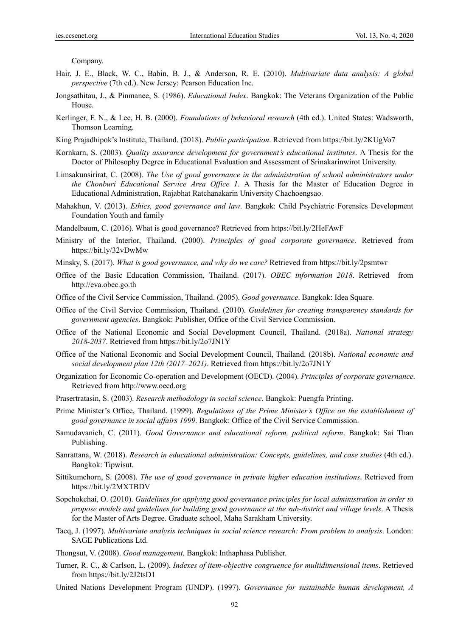Company.

- Hair, J. E., Black, W. C., Babin, B. J., & Anderson, R. E. (2010). *Multivariate data analysis: A global perspective* (7th ed.). New Jersey: Pearson Education Inc.
- Jongsathitau, J., & Pinmanee, S. (1986). *Educational Index*. Bangkok: The Veterans Organization of the Public House.
- Kerlinger, F. N., & Lee, H. B. (2000). *Foundations of behavioral research* (4th ed.). United States: Wadsworth, Thomson Learning.
- King Prajadhipok's Institute, Thailand. (2018). *Public participation*. Retrieved from https://bit.ly/2KUgVo7
- Kornkarn, S. (2003). *Quality assurance development for government's educational institutes*. A Thesis for the Doctor of Philosophy Degree in Educational Evaluation and Assessment of Srinakarinwirot University.
- Limsakunsirirat, C. (2008). *The Use of good governance in the administration of school administrators under the Chonburi Educational Service Area Office 1*. A Thesis for the Master of Education Degree in Educational Administration, Rajabhat Ratchanakarin University Chachoengsao.
- Mahakhun, V. (2013). *Ethics, good governance and law*. Bangkok: Child Psychiatric Forensics Development Foundation Youth and family
- Mandelbaum, C. (2016). What is good governance? Retrieved from https://bit.ly/2HeFAwF
- Ministry of the Interior, Thailand. (2000). *Principles of good corporate governance*. Retrieved from https://bit.ly/32vDwMw
- Minsky, S. (2017). *What is good governance, and why do we care?* Retrieved from https://bit.ly/2psmtwr
- Office of the Basic Education Commission, Thailand. (2017). *OBEC information 2018*. Retrieved from http://eva.obec.go.th
- Office of the Civil Service Commission, Thailand. (2005). *Good governance*. Bangkok: Idea Square.
- Office of the Civil Service Commission, Thailand. (2010). *Guidelines for creating transparency standards for government agencies*. Bangkok: Publisher, Office of the Civil Service Commission.
- Office of the National Economic and Social Development Council, Thailand. (2018a). *National strategy 2018-2037*. Retrieved from https://bit.ly/2o7JN1Y
- Office of the National Economic and Social Development Council, Thailand. (2018b). *National economic and social development plan 12th (2017–2021)*. Retrieved from https://bit.ly/2o7JN1Y
- Organization for Economic Co-operation and Development (OECD). (2004). *Principles of corporate governance*. Retrieved from http://www.oecd.org
- Prasertratasin, S. (2003). *Research methodology in social science*. Bangkok: Puengfa Printing.
- Prime Minister's Office, Thailand. (1999). *Regulations of the Prime Minister's Office on the establishment of good governance in social affairs 1999*. Bangkok: Office of the Civil Service Commission.
- Samudavanich, C. (2011). *Good Governance and educational reform, political reform*. Bangkok: Sai Than Publishing.
- Sanrattana, W. (2018). *Research in educational administration: Concepts, guidelines, and case studies* (4th ed.). Bangkok: Tipwisut.
- Sittikumchorn, S. (2008). *The use of good governance in private higher education institutions*. Retrieved from https://bit.ly/2MXTBDV
- Sopchokchai, O. (2010). *Guidelines for applying good governance principles for local administration in order to propose models and guidelines for building good governance at the sub-district and village levels*. A Thesis for the Master of Arts Degree. Graduate school, Maha Sarakham University.
- Tacq, J. (1997). *Multivariate analysis techniques in social science research: From problem to analysis*. London: SAGE Publications Ltd.
- Thongsut, V. (2008). *Good management*. Bangkok: Inthaphasa Publisher.
- Turner, R. C., & Carlson, L. (2009). *Indexes of item-objective congruence for multidimensional items*. Retrieved from https://bit.ly/2J2tsD1
- United Nations Development Program (UNDP). (1997). *Governance for sustainable human development, A*